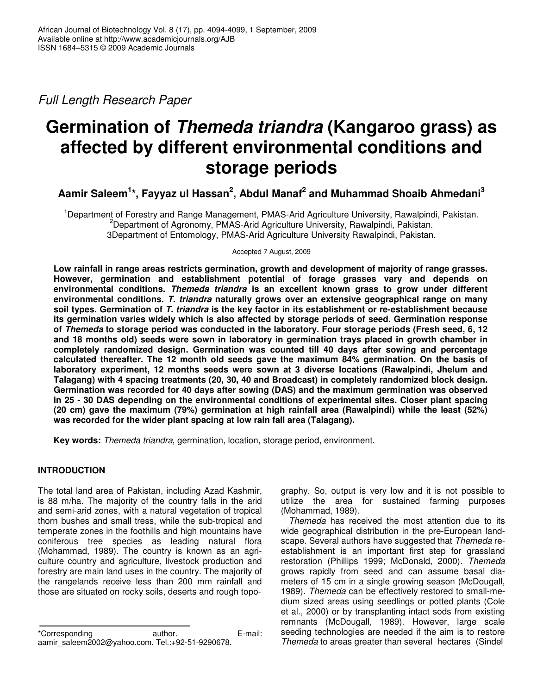*Full Length Research Paper*

# **Germination of** *Themeda triandra* **(Kangaroo grass) as affected by different environmental conditions and storage periods**

**Aamir Saleem 1 \*, Fayyaz ul Hassan 2 , Abdul Manaf 2 and Muhammad Shoaib Ahmedani 3**

<sup>1</sup>Department of Forestry and Range Management, PMAS-Arid Agriculture University, Rawalpindi, Pakistan. <sup>2</sup>Department of Agronomy, PMAS-Arid Agriculture University, Rawalpindi, Pakistan. 3Department of Entomology, PMAS-Arid Agriculture University Rawalpindi, Pakistan.

Accepted 7 August, 2009

**Low rainfall in range areas restricts germination, growth and development of majority of range grasses. However, germination and establishment potential of forage grasses vary and depends on environmental conditions.** *Themeda triandra* **is an excellent known grass to grow under different environmental conditions.** *T. triandra* **naturally grows over an extensive geographical range on many soil types. Germination of** *T. triandra* **is the key factor in its establishment or re-establishment because its germination varies widely which is also affected by storage periods of seed. Germination response of** *Themeda* **to storage period was conducted in the laboratory. Four storage periods (Fresh seed, 6, 12 and 18 months old) seeds were sown in laboratory in germination trays placed in growth chamber in completely randomized design. Germination was counted till 40 days after sowing and percentage calculated thereafter. The 12 month old seeds gave the maximum 84% germination. On the basis of laboratory experiment, 12 months seeds were sown at 3 diverse locations (Rawalpindi, Jhelum and Talagang) with 4 spacing treatments (20, 30, 40 and Broadcast) in completely randomized block design. Germination was recorded for 40 days after sowing (DAS) and the maximum germination was observed in 25 - 30 DAS depending on the environmental conditions of experimental sites. Closer plant spacing (20 cm) gave the maximum (79%) germination at high rainfall area (Rawalpindi) while the least (52%) was recorded for the wider plant spacing at low rain fall area (Talagang).**

**Key words:** *Themeda triandra*, germination, location, storage period, environment.

## **INTRODUCTION**

The total land area of Pakistan, including Azad Kashmir, is 88 m/ha. The majority of the country falls in the arid and semi-arid zones, with a natural vegetation of tropical thorn bushes and small tress, while the sub-tropical and temperate zones in the foothills and high mountains have coniferous tree species as leading natural flora (Mohammad, 1989). The country is known as an agriculture country and agriculture, livestock production and forestry are main land uses in the country. The majority of the rangelands receive less than 200 mm rainfall and those are situated on rocky soils, deserts and rough topography. So, output is very low and it is not possible to utilize the area for sustained farming purposes (Mohammad, 1989).

*Themeda* has received the most attention due to its wide geographical distribution in the pre-European landscape. Several authors have suggested that *Themeda* reestablishment is an important first step for grassland restoration (Phillips 1999; McDonald, 2000). *Themeda* grows rapidly from seed and can assume basal diameters of 15 cm in a single growing season (McDougall, 1989). *Themeda* can be effectively restored to small-medium sized areas using seedlings or potted plants (Cole et al., 2000) or by transplanting intact sods from existing remnants (McDougall, 1989). However, large scale seeding technologies are needed if the aim is to restore *Themeda* to areas greater than several hectares (Sindel

<sup>\*</sup>Corresponding author. E-mail: aamir\_saleem2002@yahoo.com. Tel.:+92-51-9290678.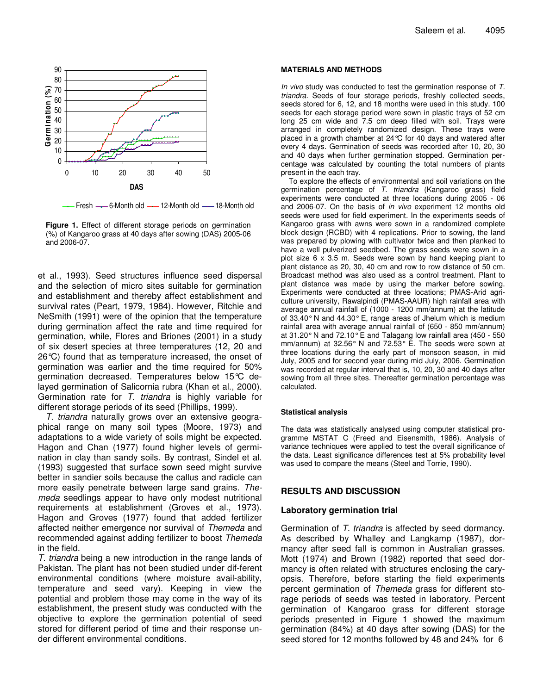

Fresh  $-$  6-Month old  $-$  12-Month old  $-$  18-Month old



et al., 1993). Seed structures influence seed dispersal and the selection of micro sites suitable for germination and establishment and thereby affect establishment and survival rates (Peart, 1979, 1984). However, Ritchie and NeSmith (1991) were of the opinion that the temperature during germination affect the rate and time required for germination, while, Flores and Briones (2001) in a study of six desert species at three temperatures (12, 20 and 26°C) found that as temperature increased, the onset of germination was earlier and the time required for 50% germination decreased. Temperatures below 15°C delayed germination of Salicornia rubra (Khan et al., 2000). Germination rate for *T. triandra* is highly variable for different storage periods of its seed (Phillips, 1999).

*T. triandra* naturally grows over an extensive geographical range on many soil types (Moore, 1973) and adaptations to a wide variety of soils might be expected. Hagon and Chan (1977) found higher levels of germination in clay than sandy soils. By contrast, Sindel et al. (1993) suggested that surface sown seed might survive better in sandier soils because the callus and radicle can more easily penetrate between large sand grains. *Themeda* seedlings appear to have only modest nutritional requirements at establishment (Groves et al., 1973). Hagon and Groves (1977) found that added fertilizer affected neither emergence nor survival of *Themeda* and recommended against adding fertilizer to boost *Themeda* in the field.

*T. triandra* being a new introduction in the range lands of Pakistan. The plant has not been studied under dif-ferent environmental conditions (where moisture avail-ability, temperature and seed vary). Keeping in view the potential and problem those may come in the way of its establishment, the present study was conducted with the objective to explore the germination potential of seed stored for different period of time and their response under different environmental conditions.

#### **MATERIALS AND METHODS**

*In vivo* study was conducted to test the germination response of *T. triandra.* Seeds of four storage periods, freshly collected seeds, seeds stored for 6, 12, and 18 months were used in this study. 100 seeds for each storage period were sown in plastic trays of 52 cm long 25 cm wide and 7.5 cm deep filled with soil. Trays were arranged in completely randomized design. These trays were placed in a growth chamber at 24°C for 40 days and watered after every 4 days. Germination of seeds was recorded after 10, 20, 30 and 40 days when further germination stopped. Germination percentage was calculated by counting the total numbers of plants present in the each tray.

To explore the effects of environmental and soil variations on the germination percentage of *T. triandra* (Kangaroo grass) field experiments were conducted at three locations during 2005 - 06 and 2006-07. On the basis of *in vivo* experiment 12 months old seeds were used for field experiment. In the experiments seeds of Kangaroo grass with awns were sown in a randomized complete block design (RCBD) with 4 replications. Prior to sowing, the land was prepared by plowing with cultivator twice and then planked to have a well pulverized seedbed. The grass seeds were sown in a plot size 6 x 3.5 m. Seeds were sown by hand keeping plant to plant distance as 20, 30, 40 cm and row to row distance of 50 cm. Broadcast method was also used as a control treatment. Plant to plant distance was made by using the marker before sowing. Experiments were conducted at three locations; PMAS-Arid agriculture university, Rawalpindi (PMAS-AAUR) high rainfall area with average annual rainfall of (1000 - 1200 mm/annum) at the latitude of 33.40°N and 44.30°E, range areas of Jhelum which is medium rainfall area with average annual rainfall of (650 - 850 mm/annum) at 31.20°N and 72.10°E and Talagang low rainfall area (450 - 550 mm/annum) at 32.56° N and 72.53° E. The seeds were sown at three locations during the early part of monsoon season, in mid July, 2005 and for second year during mid July, 2006. Germination was recorded at regular interval that is, 10, 20, 30 and 40 days after sowing from all three sites. Thereafter germination percentage was calculated.

#### **Statistical analysis**

The data was statistically analysed using computer statistical programme MSTAT C (Freed and Eisensmith, 1986). Analysis of variance techniques were applied to test the overall significance of the data. Least significance differences test at 5% probability level was used to compare the means (Steel and Torrie, 1990).

### **RESULTS AND DISCUSSION**

#### **Laboratory germination trial**

Germination of *T. triandra* is affected by seed dormancy. As described by Whalley and Langkamp (1987), dormancy after seed fall is common in Australian grasses. Mott (1974) and Brown (1982) reported that seed dormancy is often related with structures enclosing the caryopsis. Therefore, before starting the field experiments percent germination of *Themeda* grass for different storage periods of seeds was tested in laboratory. Percent germination of Kangaroo grass for different storage periods presented in Figure 1 showed the maximum germination (84%) at 40 days after sowing (DAS) for the seed stored for 12 months followed by 48 and 24% for 6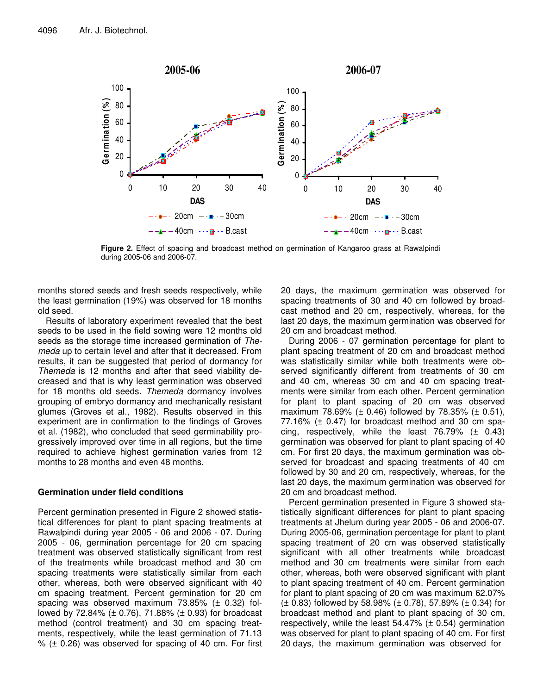

**Figure 2.** Effect of spacing and broadcast method on germination of Kangaroo grass at Rawalpindi during 2005-06 and 2006-07.

months stored seeds and fresh seeds respectively, while the least germination (19%) was observed for 18 months old seed.

Results of laboratory experiment revealed that the best seeds to be used in the field sowing were 12 months old seeds as the storage time increased germination of *Themeda* up to certain level and after that it decreased. From results, it can be suggested that period of dormancy for *Themeda* is 12 months and after that seed viability decreased and that is why least germination was observed for 18 months old seeds. *Themeda* dormancy involves grouping of embryo dormancy and mechanically resistant glumes (Groves et al., 1982). Results observed in this experiment are in confirmation to the findings of Groves et al. (1982), who concluded that seed germinability progressively improved over time in all regions, but the time required to achieve highest germination varies from 12 months to 28 months and even 48 months.

## **Germination under field conditions**

Percent germination presented in Figure 2 showed statistical differences for plant to plant spacing treatments at Rawalpindi during year 2005 - 06 and 2006 - 07. During 2005 - 06, germination percentage for 20 cm spacing treatment was observed statistically significant from rest of the treatments while broadcast method and 30 cm spacing treatments were statistically similar from each other, whereas, both were observed significant with 40 cm spacing treatment. Percent germination for 20 cm spacing was observed maximum 73.85% (± 0.32) followed by 72.84% (± 0.76), 71.88% (± 0.93) for broadcast method (control treatment) and 30 cm spacing treatments, respectively, while the least germination of 71.13  $%$  ( $\pm$  0.26) was observed for spacing of 40 cm. For first 20 days, the maximum germination was observed for spacing treatments of 30 and 40 cm followed by broadcast method and 20 cm, respectively, whereas, for the last 20 days, the maximum germination was observed for 20 cm and broadcast method.

During 2006 - 07 germination percentage for plant to plant spacing treatment of 20 cm and broadcast method was statistically similar while both treatments were observed significantly different from treatments of 30 cm and 40 cm, whereas 30 cm and 40 cm spacing treatments were similar from each other. Percent germination for plant to plant spacing of 20 cm was observed maximum 78.69% ( $\pm$  0.46) followed by 78.35% ( $\pm$  0.51),  $77.16\%$  ( $\pm$  0.47) for broadcast method and 30 cm spacing, respectively, while the least 76.79%  $(\pm 0.43)$ germination was observed for plant to plant spacing of 40 cm. For first 20 days, the maximum germination was observed for broadcast and spacing treatments of 40 cm followed by 30 and 20 cm, respectively, whereas, for the last 20 days, the maximum germination was observed for 20 cm and broadcast method.

Percent germination presented in Figure 3 showed statistically significant differences for plant to plant spacing treatments at Jhelum during year 2005 - 06 and 2006-07. During 2005-06, germination percentage for plant to plant spacing treatment of 20 cm was observed statistically significant with all other treatments while broadcast method and 30 cm treatments were similar from each other, whereas, both were observed significant with plant to plant spacing treatment of 40 cm. Percent germination for plant to plant spacing of 20 cm was maximum 62.07%  $(\pm 0.83)$  followed by 58.98% ( $\pm 0.78$ ), 57.89% ( $\pm 0.34$ ) for broadcast method and plant to plant spacing of 30 cm, respectively, while the least  $54.47\%$  ( $\pm$  0.54) germination was observed for plant to plant spacing of 40 cm. For first 20 days, the maximum germination was observed for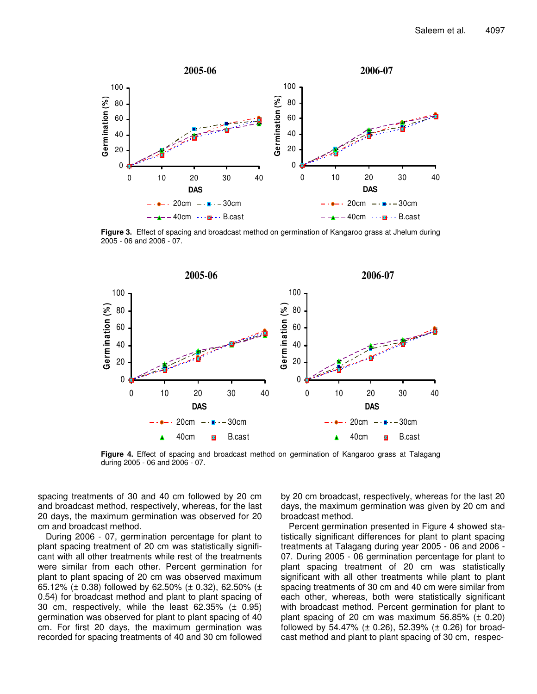

**Figure 3.** Effect of spacing and broadcast method on germination of Kangaroo grass at Jhelum during 2005 - 06 and 2006 - 07.



**Figure 4.** Effect of spacing and broadcast method on germination of Kangaroo grass at Talagang during 2005 - 06 and 2006 - 07.

spacing treatments of 30 and 40 cm followed by 20 cm and broadcast method, respectively, whereas, for the last 20 days, the maximum germination was observed for 20 cm and broadcast method.

During 2006 - 07, germination percentage for plant to plant spacing treatment of 20 cm was statistically significant with all other treatments while rest of the treatments were similar from each other. Percent germination for plant to plant spacing of 20 cm was observed maximum 65.12% ( $\pm$  0.38) followed by 62.50% ( $\pm$  0.32), 62.50% ( $\pm$ 0.54) for broadcast method and plant to plant spacing of 30 cm, respectively, while the least 62.35% (± 0.95) germination was observed for plant to plant spacing of 40 cm. For first 20 days, the maximum germination was recorded for spacing treatments of 40 and 30 cm followed by 20 cm broadcast, respectively, whereas for the last 20 days, the maximum germination was given by 20 cm and broadcast method.

Percent germination presented in Figure 4 showed statistically significant differences for plant to plant spacing treatments at Talagang during year 2005 - 06 and 2006 - 07. During 2005 - 06 germination percentage for plant to plant spacing treatment of 20 cm was statistically significant with all other treatments while plant to plant spacing treatments of 30 cm and 40 cm were similar from each other, whereas, both were statistically significant with broadcast method. Percent germination for plant to plant spacing of 20 cm was maximum 56.85%  $(\pm 0.20)$ followed by 54.47% ( $\pm$  0.26), 52.39% ( $\pm$  0.26) for broadcast method and plant to plant spacing of 30 cm, respec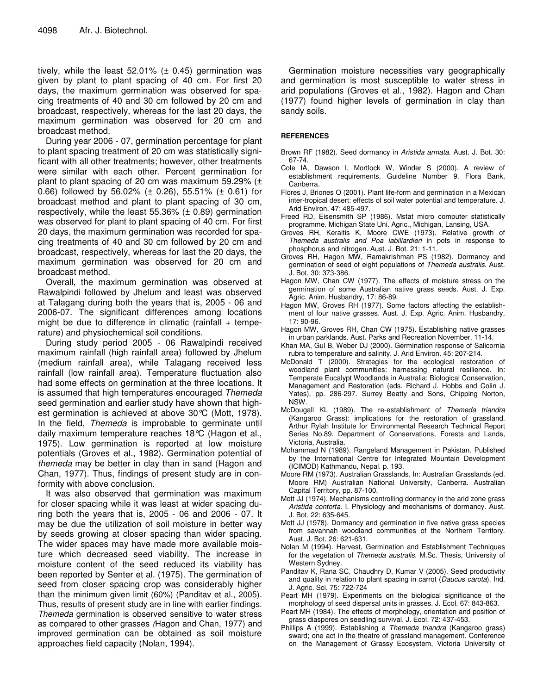tively, while the least 52.01%  $(\pm 0.45)$  germination was given by plant to plant spacing of 40 cm. For first 20 days, the maximum germination was observed for spacing treatments of 40 and 30 cm followed by 20 cm and broadcast, respectively, whereas for the last 20 days, the maximum germination was observed for 20 cm and broadcast method.

During year 2006 - 07, germination percentage for plant to plant spacing treatment of 20 cm was statistically significant with all other treatments; however, other treatments were similar with each other. Percent germination for plant to plant spacing of 20 cm was maximum 59.29%  $(±$ 0.66) followed by 56.02% ( $\pm$  0.26), 55.51% ( $\pm$  0.61) for broadcast method and plant to plant spacing of 30 cm, respectively, while the least 55.36% (± 0.89) germination was observed for plant to plant spacing of 40 cm. For first 20 days, the maximum germination was recorded for spacing treatments of 40 and 30 cm followed by 20 cm and broadcast, respectively, whereas for last the 20 days, the maximum germination was observed for 20 cm and broadcast method.

Overall, the maximum germination was observed at Rawalpindi followed by Jhelum and least was observed at Talagang during both the years that is, 2005 - 06 and 2006-07. The significant differences among locations might be due to difference in climatic (rainfall  $+$  temperature) and physiochemical soil conditions.

During study period 2005 - 06 Rawalpindi received maximum rainfall (high rainfall area) followed by Jhelum (medium rainfall area), while Talagang received less rainfall (low rainfall area). Temperature fluctuation also had some effects on germination at the three locations. It is assumed that high temperatures encouraged *Themeda* seed germination and earlier study have shown that highest germination is achieved at above 30°C (Mott, 1978). In the field, *Themeda* is improbable to germinate until daily maximum temperature reaches 18°C (Hagon et al., 1975). Low germination is reported at low moisture potentials (Groves et al., 1982). Germination potential of *themeda* may be better in clay than in sand (Hagon and Chan, 1977). Thus, findings of present study are in conformity with above conclusion.

It was also observed that germination was maximum for closer spacing while it was least at wider spacing during both the years that is, 2005 - 06 and 2006 - 07. It may be due the utilization of soil moisture in better way by seeds growing at closer spacing than wider spacing. The wider spaces may have made more available moisture which decreased seed viability. The increase in moisture content of the seed reduced its viability has been reported by Senter et al. (1975). The germination of seed from closer spacing crop was considerably higher than the minimum given limit (60%) (Panditav et al., 2005). Thus, results of present study are in line with earlier findings. *Themeda* germination is observed sensitive to water stress as compared to other grasses *(*Hagon and Chan, 1977) and improved germination can be obtained as soil moisture approaches field capacity (Nolan, 1994).

Germination moisture necessities vary geographically and germination is most susceptible to water stress in arid populations (Groves et al., 1982). Hagon and Chan (1977) found higher levels of germination in clay than sandy soils.

#### **REFERENCES**

- Brown RF (1982). Seed dormancy in *Aristida armata*. Aust. J. Bot. 30: 67-74.
- Cole IA, Dawson I, Mortlock W, Winder S (2000). A review of establishment requirements. Guideline Number 9. Flora Bank, Canberra.
- Flores J, Briones O (2001). Plant life-form and germination in a Mexican inter-tropical desert: effects of soil water potential and temperature. J. Arid Environ. 47: 485-497.
- Freed RD, Eisensmith SP (1986). Mstat micro computer statistically programme. Michigan State Uni. Agric., Michigan, Lansing, USA.
- Groves RH, Keraitis K, Moore CWE (1973). Relative growth of *Themeda australis and Poa labillardieri* in pots in response to phosphorus and nitrogen. Aust. J. Bot. 21: 1-11.
- Groves RH, Hagon MW, Ramakrishman PS (1982). Dormancy and germination of seed of eight populations of *Themeda australis*. Aust. J. Bot. 30: 373-386.
- Hagon MW, Chan CW (1977). The effects of moisture stress on the germination of some Australian native grass seeds. Aust. J. Exp. Agric. Anim. Husbandry, 17: 86-89.
- Hagon MW, Groves RH (1977). Some factors affecting the establishment of four native grasses. Aust. J. Exp. Agric. Anim. Husbandry, 17: 90-96.
- Hagon MW, Groves RH, Chan CW (1975). Establishing native grasses in urban parklands. Aust. Parks and Recreation November, 11-14.
- Khan MA, Gul B, Weber DJ (2000). Germination response of Salicornia rubra to temperature and salinity. J. Arid Environ. 45: 207-214.
- McDonald T (2000). Strategies for the ecological restoration of woodland plant communities: harnessing natural resilience. In: Temperate Eucalypt Woodlands in Australia: Biological Conservation, Management and Restoration (eds. Richard J. Hobbs and Colin J. Yates), pp. 286-297. Surrey Beatty and Sons, Chipping Norton, NSW.
- McDougall KL (1989). The re-establishment of *Themeda triandra* (Kangaroo Grass): implications for the restoration of grassland. Arthur Rylah Institute for Environmental Research Technical Report Series No.89. Department of Conservations, Forests and Lands, Victoria, Australia.
- Mohammad N (1989). Rangeland Management in Pakistan. Published by the International Centre for Integrated Mountain Development (ICIMOD) Kathmandu, Nepal. p. 193.
- Moore RM (1973). Australian Grasslands. In: Australian Grasslands (ed. Moore RM) Australian National University, Canberra. Australian Capital Territory, pp. 87-100.
- Mott JJ (1974). Mechanisms controlling dormancy in the arid zone grass *Aristida contorta*. I. Physiology and mechanisms of dormancy. Aust. J. Bot. 22: 635-645.
- Mott JJ (1978). Dormancy and germination in five native grass species from savannah woodland communities of the Northern Territory. Aust. J. Bot. 26: 621-631.
- Nolan M (1994). Harvest, Germination and Establishment Techniques for the vegetation of *Themeda australis*. M.Sc. Thesis, University of Western Sydney.
- Panditav K, Rana SC, Chaudhry D, Kumar V (2005). Seed productivity and quality in relation to plant spacing in carrot (*Daucus carota*). Ind. J. Agric. Sci. 75: 722-724
- Peart MH (1979). Experiments on the biological significance of the morphology of seed dispersal units in grasses. J. Ecol. 67: 843-863.
- Peart MH (1984). The effects of morphology, orientation and position of grass diaspores on seedling survival. J. Ecol. 72: 437-453.
- Phillips A (1999). Establishing a *Themeda triandra* (Kangaroo grass) sward; one act in the theatre of grassland management. Conference on the Management of Grassy Ecosystem, Victoria University of